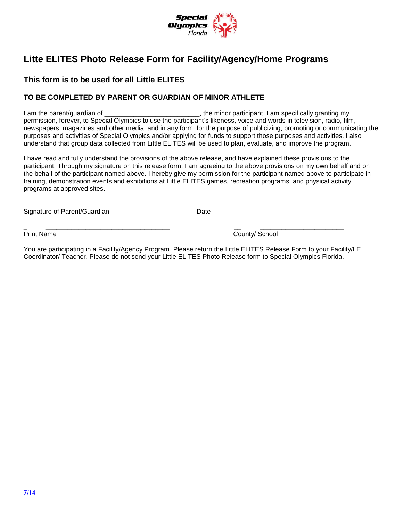

# **Litte ELITES Photo Release Form for Facility/Agency/Home Programs**

### **This form is to be used for all Little ELITES**

#### **TO BE COMPLETED BY PARENT OR GUARDIAN OF MINOR ATHLETE**

I am the parent/guardian of  $\blacksquare$ permission, forever, to Special Olympics to use the participant's likeness, voice and words in television, radio, film, newspapers, magazines and other media, and in any form, for the purpose of publicizing, promoting or communicating the purposes and activities of Special Olympics and/or applying for funds to support those purposes and activities. I also understand that group data collected from Little ELITES will be used to plan, evaluate, and improve the program.

I have read and fully understand the provisions of the above release, and have explained these provisions to the participant. Through my signature on this release form, I am agreeing to the above provisions on my own behalf and on the behalf of the participant named above. I hereby give my permission for the participant named above to participate in training, demonstration events and exhibitions at Little ELITES games, recreation programs, and physical activity programs at approved sites.

Signature of Parent/Guardian Date

\_ \_\_\_\_\_\_\_\_\_\_\_\_\_\_\_\_\_\_\_\_\_\_\_\_\_\_\_\_\_\_\_\_\_\_ \_\_ \_\_\_\_\_\_\_\_\_\_\_\_\_\_\_\_\_\_\_\_\_\_\_ Print Name County/ School

You are participating in a Facility/Agency Program. Please return the Little ELITES Release Form to your Facility/LE Coordinator/ Teacher. Please do not send your Little ELITES Photo Release form to Special Olympics Florida.

\_\_ \_\_\_\_\_\_\_\_\_\_\_\_\_\_\_\_\_\_\_\_\_\_\_\_\_\_\_\_\_\_\_\_\_\_\_ \_\_ \_\_\_\_\_\_\_\_\_\_\_\_\_\_\_\_\_\_\_\_\_\_